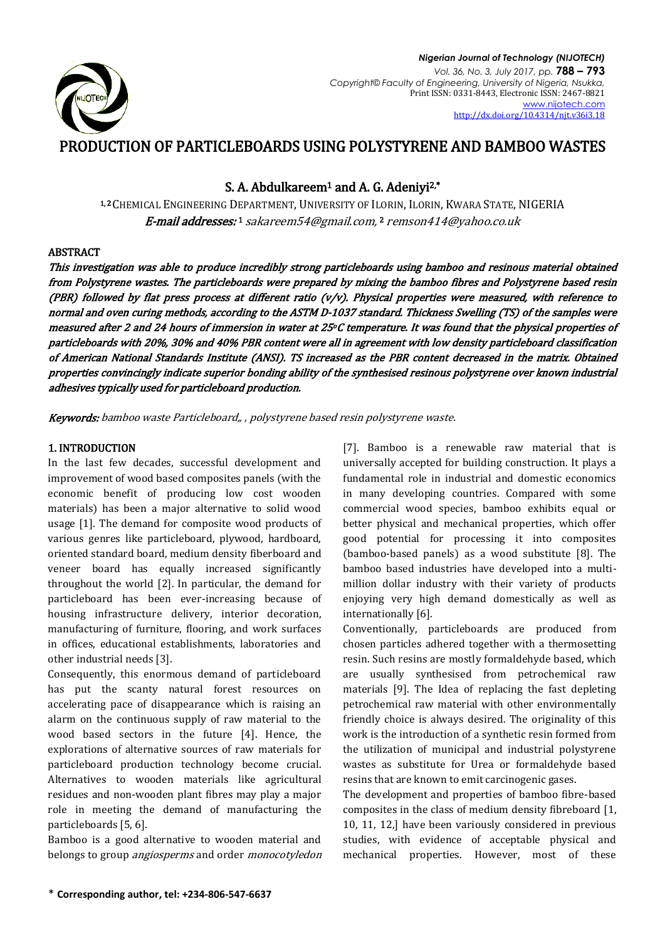

# PRODUCTION OF PARTICLEBOARDS USING POLYSTYRENE AND BAMBOO WASTES

# S. A. Abdulkareem<sup>1</sup> and A. G. Adeniyi<sup>2,\*</sup>

1.2 CHEMICAL ENGINEERING DEPARTMENT, UNIVERSITY OF ILORIN, ILORIN, KWARA STATE, NIGERIA **E-mail addresses:**1 [sakareem54@gmail.com,](mailto:sakareem54@gmail.com)2 [remson414@yahoo.co.uk](mailto:remson414@yahoo.co.uk)

# ABSTRACT

This investigation was able to produce incredibly strong particleboards using bamboo and resinous material obtained from Polystyrene wastes. The particleboards were prepared by mixing the bamboo fibres and Polystyrene based resin (PBR) followed by flat press process at different ratio (v/v). Physical properties were measured, with reference to normal and oven curing methods, according to the ASTM D-1037 standard. Thickness Swelling (TS) of the samples were measured after 2 and 24 hours of immersion in water at 25oC temperature. It was found that the physical properties of particleboards with 20%, 30% and 40% PBR content were all in agreement with low density particleboard classification of American National Standards Institute (ANSI). TS increased as the PBR content decreased in the matrix. Obtained properties convincingly indicate superior bonding ability of the synthesised resinous polystyrene over known industrial adhesives typically used for particleboard production.

Keywords: bamboo waste Particleboard,, , polystyrene based resin polystyrene waste.

# 1. INTRODUCTION

In the last few decades, successful development and improvement of wood based composites panels (with the economic benefit of producing low cost wooden materials) has been a major alternative to solid wood usage [1]. The demand for composite wood products of various genres like particleboard, plywood, hardboard, oriented standard board, medium density fiberboard and veneer board has equally increased significantly throughout the world [2]. In particular, the demand for particleboard has been ever-increasing because of housing infrastructure delivery, interior decoration, manufacturing of furniture, flooring, and work surfaces in offices, educational establishments, laboratories and other industrial needs [3].

Consequently, this enormous demand of particleboard has put the scanty natural forest resources on accelerating pace of disappearance which is raising an alarm on the continuous supply of raw material to the wood based sectors in the future [4]. Hence, the explorations of alternative sources of raw materials for particleboard production technology become crucial. Alternatives to wooden materials like agricultural residues and non-wooden plant fibres may play a major role in meeting the demand of manufacturing the particleboards [5, 6].

Bamboo is a good alternative to wooden material and belongs to group *angiosperms* and order *monocotyledon*  [7]. Bamboo is a renewable raw material that is universally accepted for building construction. It plays a fundamental role in industrial and domestic economics in many developing countries. Compared with some commercial wood species, bamboo exhibits equal or better physical and mechanical properties, which offer good potential for processing it into composites (bamboo-based panels) as a wood substitute [8]. The bamboo based industries have developed into a multimillion dollar industry with their variety of products enjoying very high demand domestically as well as internationally [6].

Conventionally, particleboards are produced from chosen particles adhered together with a thermosetting resin. Such resins are mostly formaldehyde based, which are usually synthesised from petrochemical raw materials [9]. The Idea of replacing the fast depleting petrochemical raw material with other environmentally friendly choice is always desired. The originality of this work is the introduction of a synthetic resin formed from the utilization of municipal and industrial polystyrene wastes as substitute for Urea or formaldehyde based resins that are known to emit carcinogenic gases.

The development and properties of bamboo fibre-based composites in the class of medium density fibreboard [1, 10, 11, 12,] have been variously considered in previous studies, with evidence of acceptable physical and mechanical properties. However, most of these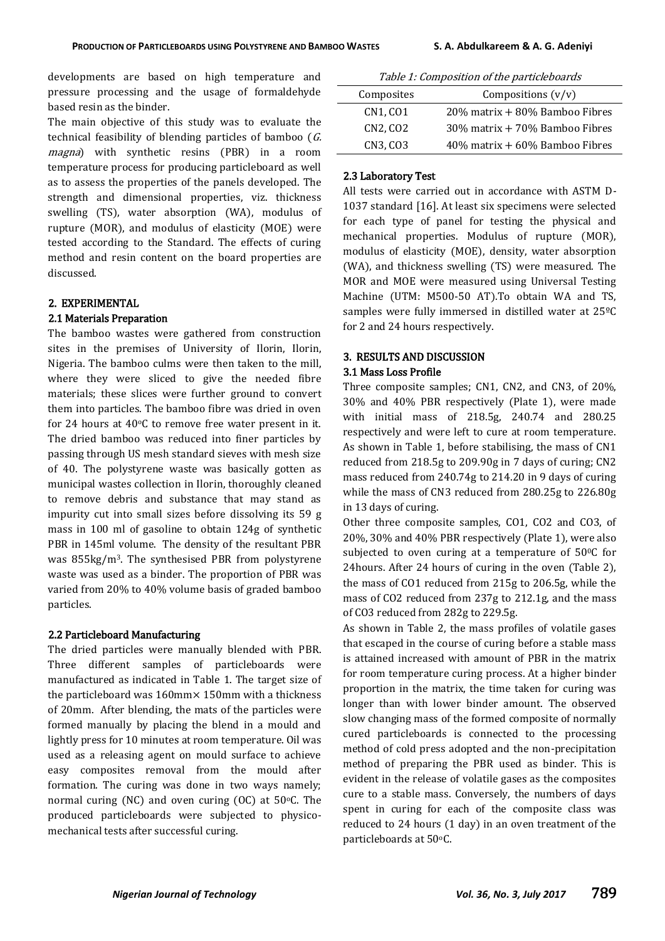developments are based on high temperature and pressure processing and the usage of formaldehyde based resin as the binder.

The main objective of this study was to evaluate the technical feasibility of blending particles of bamboo (G. magna) with synthetic resins (PBR) in a room temperature process for producing particleboard as well as to assess the properties of the panels developed. The strength and dimensional properties, viz. thickness swelling (TS), water absorption (WA), modulus of rupture (MOR), and modulus of elasticity (MOE) were tested according to the Standard. The effects of curing method and resin content on the board properties are discussed.

# 2. EXPERIMENTAL

### 2.1 Materials Preparation

The bamboo wastes were gathered from construction sites in the premises of University of Ilorin, Ilorin, Nigeria. The bamboo culms were then taken to the mill, where they were sliced to give the needed fibre materials; these slices were further ground to convert them into particles. The bamboo fibre was dried in oven for 24 hours at  $40^{\circ}$ C to remove free water present in it. The dried bamboo was reduced into finer particles by passing through US mesh standard sieves with mesh size of 40. The polystyrene waste was basically gotten as municipal wastes collection in Ilorin, thoroughly cleaned to remove debris and substance that may stand as impurity cut into small sizes before dissolving its 59 g mass in 100 ml of gasoline to obtain 124g of synthetic PBR in 145ml volume. The density of the resultant PBR was 855kg/m3. The synthesised PBR from polystyrene waste was used as a binder. The proportion of PBR was varied from 20% to 40% volume basis of graded bamboo particles.

#### 2.2 Particleboard Manufacturing

The dried particles were manually blended with PBR. Three different samples of particleboards were manufactured as indicated in Table 1. The target size of the particleboard was 160mm× 150mm with a thickness of 20mm. After blending, the mats of the particles were formed manually by placing the blend in a mould and lightly press for 10 minutes at room temperature. Oil was used as a releasing agent on mould surface to achieve easy composites removal from the mould after formation. The curing was done in two ways namely; normal curing (NC) and oven curing (OC) at  $50^{\circ}$ C. The produced particleboards were subjected to physicomechanical tests after successful curing.

| Table 1: Composition of the particleboards |
|--------------------------------------------|
|--------------------------------------------|

| Composites | Compositions $(v/v)$                |
|------------|-------------------------------------|
| CN1, CO1   | $20\%$ matrix + 80% Bamboo Fibres   |
| CN2, CO2   | $30\%$ matrix + 70% Bamboo Fibres   |
| CN3, CO3   | $40\%$ matrix $+60\%$ Bamboo Fibres |

### 2.3 Laboratory Test

All tests were carried out in accordance with ASTM D-1037 standard [16]. At least six specimens were selected for each type of panel for testing the physical and mechanical properties. Modulus of rupture (MOR), modulus of elasticity (MOE), density, water absorption (WA), and thickness swelling (TS) were measured. The MOR and MOE were measured using Universal Testing Machine (UTM: M500-50 AT).To obtain WA and TS, samples were fully immersed in distilled water at 25ºC for 2 and 24 hours respectively.

# 3. RESULTS AND DISCUSSION

## 3.1 Mass Loss Profile

Three composite samples; CN1, CN2, and CN3, of 20%, 30% and 40% PBR respectively (Plate 1), were made with initial mass of 218.5g, 240.74 and 280.25 respectively and were left to cure at room temperature. As shown in Table 1, before stabilising, the mass of CN1 reduced from 218.5g to 209.90g in 7 days of curing; CN2 mass reduced from 240.74g to 214.20 in 9 days of curing while the mass of CN3 reduced from 280.25g to 226.80g in 13 days of curing.

Other three composite samples, CO1, CO2 and CO3, of 20%, 30% and 40% PBR respectively (Plate 1), were also subjected to oven curing at a temperature of 50°C for 24hours. After 24 hours of curing in the oven (Table 2), the mass of CO1 reduced from 215g to 206.5g, while the mass of CO2 reduced from 237g to 212.1g, and the mass of CO3 reduced from 282g to 229.5g.

As shown in Table 2, the mass profiles of volatile gases that escaped in the course of curing before a stable mass is attained increased with amount of PBR in the matrix for room temperature curing process. At a higher binder proportion in the matrix, the time taken for curing was longer than with lower binder amount. The observed slow changing mass of the formed composite of normally cured particleboards is connected to the processing method of cold press adopted and the non-precipitation method of preparing the PBR used as binder. This is evident in the release of volatile gases as the composites cure to a stable mass. Conversely, the numbers of days spent in curing for each of the composite class was reduced to 24 hours (1 day) in an oven treatment of the particleboards at 50°C.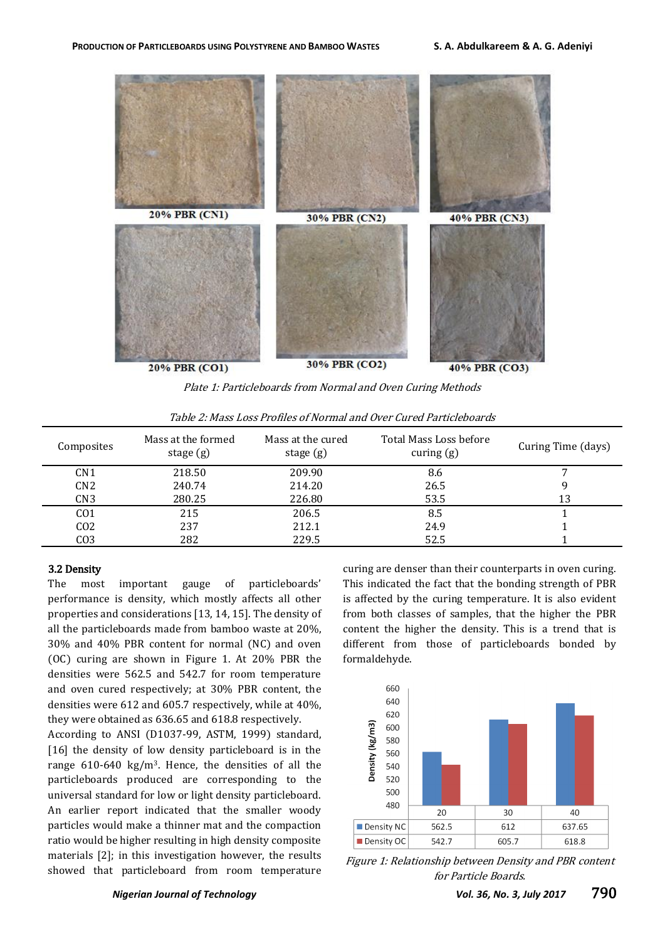

Plate 1: Particleboards from Normal and Oven Curing Methods

| Composites      | Mass at the formed<br>stage $(g)$ | Mass at the cured<br>stage $(g)$ | Total Mass Loss before<br>curing $(g)$ | Curing Time (days) |
|-----------------|-----------------------------------|----------------------------------|----------------------------------------|--------------------|
| CN1             | 218.50                            | 209.90                           | 8.6                                    |                    |
| CN <sub>2</sub> | 240.74                            | 214.20                           | 26.5                                   |                    |
| CN3             | 280.25                            | 226.80                           | 53.5                                   | 13                 |
| CO <sub>1</sub> | 215                               | 206.5                            | 8.5                                    |                    |
| CO <sub>2</sub> | 237                               | 212.1                            | 24.9                                   |                    |
| CO <sub>3</sub> | 282                               | 229.5                            | 52.5                                   |                    |

Table 2: Mass Loss Profiles of Normal and Over Cured Particleboards

### 3.2 Density

The most important gauge of particleboards' performance is density, which mostly affects all other properties and considerations [13, 14, 15]. The density of all the particleboards made from bamboo waste at 20%, 30% and 40% PBR content for normal (NC) and oven (OC) curing are shown in Figure 1. At 20% PBR the densities were 562.5 and 542.7 for room temperature and oven cured respectively; at 30% PBR content, the densities were 612 and 605.7 respectively, while at 40%, they were obtained as 636.65 and 618.8 respectively.

According to ANSI (D1037-99, ASTM, 1999) standard, [16] the density of low density particleboard is in the range 610-640 kg/m3. Hence, the densities of all the particleboards produced are corresponding to the universal standard for low or light density particleboard. An earlier report indicated that the smaller woody particles would make a thinner mat and the compaction ratio would be higher resulting in high density composite materials [2]; in this investigation however, the results showed that particleboard from room temperature

curing are denser than their counterparts in oven curing. This indicated the fact that the bonding strength of PBR is affected by the curing temperature. It is also evident from both classes of samples, that the higher the PBR content the higher the density. This is a trend that is different from those of particleboards bonded by formaldehyde.



Figure 1: Relationship between Density and PBR content for Particle Boards.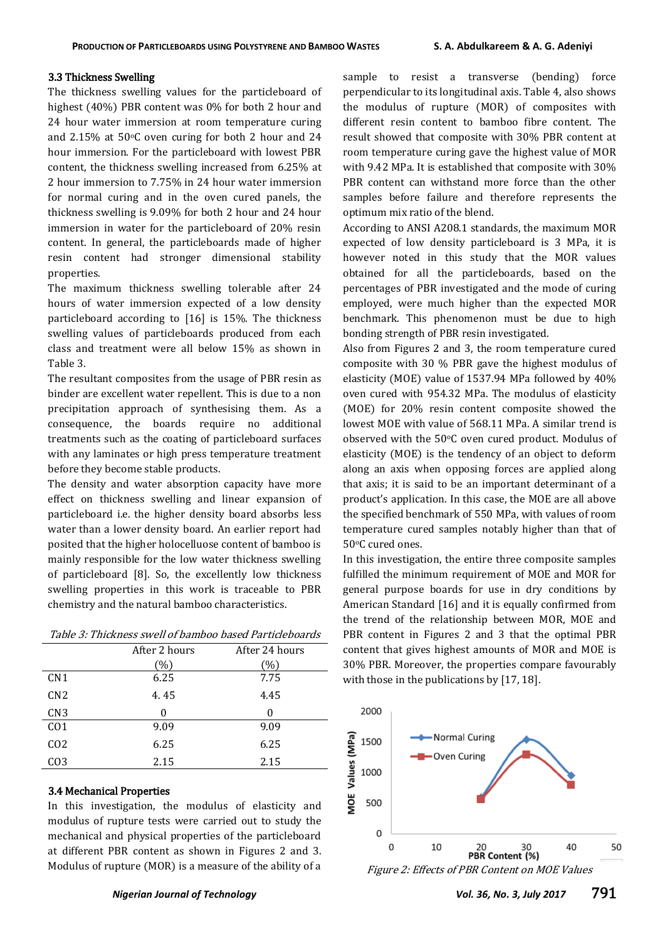### 3.3 Thickness Swelling

The thickness swelling values for the particleboard of highest (40%) PBR content was 0% for both 2 hour and 24 hour water immersion at room temperature curing and 2.15% at 50 $\degree$ C oven curing for both 2 hour and 24 hour immersion. For the particleboard with lowest PBR content, the thickness swelling increased from 6.25% at 2 hour immersion to 7.75% in 24 hour water immersion for normal curing and in the oven cured panels, the thickness swelling is 9.09% for both 2 hour and 24 hour immersion in water for the particleboard of 20% resin content. In general, the particleboards made of higher resin content had stronger dimensional stability properties.

The maximum thickness swelling tolerable after 24 hours of water immersion expected of a low density particleboard according to [16] is 15%. The thickness swelling values of particleboards produced from each class and treatment were all below 15% as shown in Table 3.

The resultant composites from the usage of PBR resin as binder are excellent water repellent. This is due to a non precipitation approach of synthesising them. As a consequence, the boards require no additional treatments such as the coating of particleboard surfaces with any laminates or high press temperature treatment before they become stable products.

The density and water absorption capacity have more effect on thickness swelling and linear expansion of particleboard i.e. the higher density board absorbs less water than a lower density board. An earlier report had posited that the higher holocelluose content of bamboo is mainly responsible for the low water thickness swelling of particleboard [8]. So, the excellently low thickness swelling properties in this work is traceable to PBR chemistry and the natural bamboo characteristics.

|                 | After 2 hours | After 24 hours  |
|-----------------|---------------|-----------------|
|                 | $\frac{1}{2}$ | $\mathcal{O}_0$ |
| CN1             | 6.25          | 7.75            |
| CN <sub>2</sub> | 4.45          | 4.45            |
| CN <sub>3</sub> | 0             | 0               |
| CO <sub>1</sub> | 9.09          | 9.09            |
| CO <sub>2</sub> | 6.25          | 6.25            |
| CO <sub>3</sub> | 2.15          | 2.15            |

# 3.4 Mechanical Properties

In this investigation, the modulus of elasticity and modulus of rupture tests were carried out to study the mechanical and physical properties of the particleboard at different PBR content as shown in Figures 2 and 3. Modulus of rupture (MOR) is a measure of the ability of a sample to resist a transverse (bending) force perpendicular to its longitudinal axis. Table 4, also shows the modulus of rupture (MOR) of composites with different resin content to bamboo fibre content. The result showed that composite with 30% PBR content at room temperature curing gave the highest value of MOR with 9.42 MPa. It is established that composite with 30% PBR content can withstand more force than the other samples before failure and therefore represents the optimum mix ratio of the blend.

According to ANSI A208.1 standards, the maximum MOR expected of low density particleboard is 3 MPa, it is however noted in this study that the MOR values obtained for all the particleboards, based on the percentages of PBR investigated and the mode of curing employed, were much higher than the expected MOR benchmark. This phenomenon must be due to high bonding strength of PBR resin investigated.

Also from Figures 2 and 3, the room temperature cured composite with 30 % PBR gave the highest modulus of elasticity (MOE) value of 1537.94 MPa followed by 40% oven cured with 954.32 MPa. The modulus of elasticity (MOE) for 20% resin content composite showed the lowest MOE with value of 568.11 MPa. A similar trend is observed with the 50°C oven cured product. Modulus of elasticity (MOE) is the tendency of an object to deform along an axis when opposing forces are applied along that axis; it is said to be an important determinant of a product's application. In this case, the MOE are all above the specified benchmark of 550 MPa, with values of room temperature cured samples notably higher than that of 50°C cured ones.

In this investigation, the entire three composite samples fulfilled the minimum requirement of MOE and MOR for general purpose boards for use in dry conditions by American Standard [16] and it is equally confirmed from the trend of the relationship between MOR, MOE and PBR content in Figures 2 and 3 that the optimal PBR content that gives highest amounts of MOR and MOE is 30% PBR. Moreover, the properties compare favourably with those in the publications by [17, 18].



Figure 2: Effects of PBR Content on MOE Values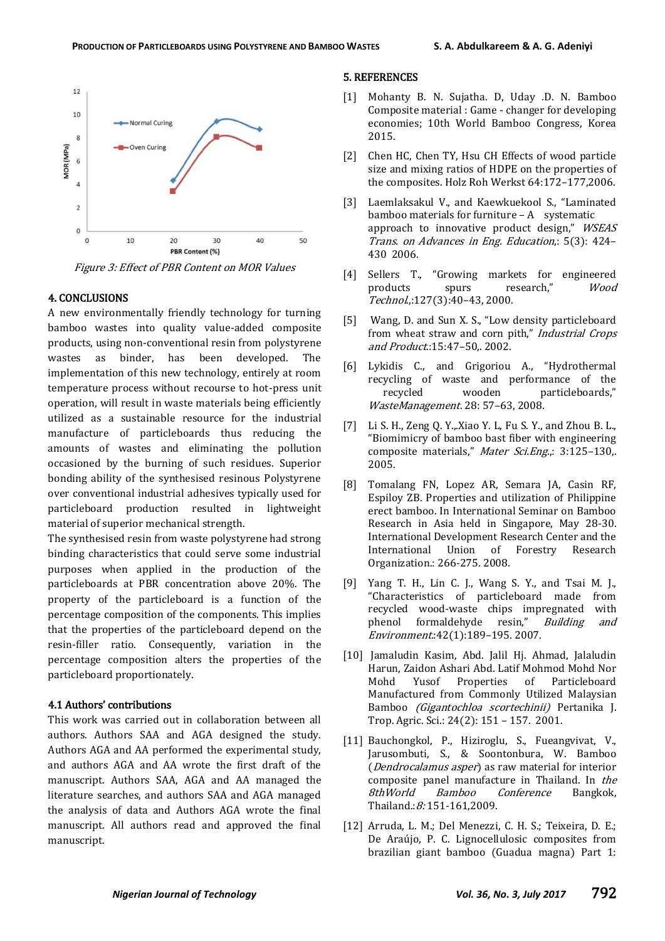

Figure 3: Effect of PBR Content on MOR Values

### 4. CONCLUSIONS

A new environmentally friendly technology for turning bamboo wastes into quality value-added composite products, using non-conventional resin from polystyrene wastes as binder, has been developed. The implementation of this new technology, entirely at room temperature process without recourse to hot-press unit operation, will result in waste materials being efficiently utilized as a sustainable resource for the industrial manufacture of particleboards thus reducing the amounts of wastes and eliminating the pollution occasioned by the burning of such residues. Superior bonding ability of the synthesised resinous Polystyrene over conventional industrial adhesives typically used for particleboard production resulted in lightweight material of superior mechanical strength.

The synthesised resin from waste polystyrene had strong binding characteristics that could serve some industrial purposes when applied in the production of the particleboards at PBR concentration above 20%. The property of the particleboard is a function of the percentage composition of the components. This implies that the properties of the particleboard depend on the resin-filler ratio. Consequently, variation in the percentage composition alters the properties of the particleboard proportionately.

# 4.1 Authors' contributions

This work was carried out in collaboration between all authors. Authors SAA and AGA designed the study. Authors AGA and AA performed the experimental study, and authors AGA and AA wrote the first draft of the manuscript. Authors SAA, AGA and AA managed the literature searches, and authors SAA and AGA managed the analysis of data and Authors AGA wrote the final manuscript. All authors read and approved the final manuscript.

### 5. REFERENCES

- [1] Mohanty B. N. Sujatha. D, Uday .D. N. Bamboo Composite material : Game - changer for developing economies; 10th World Bamboo Congress, Korea 2015.
- [2] Chen HC, Chen TY, Hsu CH Effects of wood particle size and mixing ratios of HDPE on the properties of the composites. Holz Roh Werkst 64:172–177,2006.
- [3] Laemlaksakul V., and Kaewkuekool S., "Laminated bamboo materials for furniture – A systematic approach to innovative product design," WSEAS Trans. on Advances in Eng. Education,: 5(3): 424– 430 2006.
- [4] Sellers T., "Growing markets for engineered products spurs research," Wood Technol.,:127(3):40–43, 2000.
- [5] Wang, D. and Sun X. S., "Low density particleboard from wheat straw and corn pith," Industrial Crops and Product.:15:47–50,. 2002.
- [6] Lykidis C., and Grigoriou A., "Hydrothermal recycling of waste and performance of the recycled wooden particleboards," WasteManagement. 28: 57–63, 2008.
- [7] Li S. H., Zeng Q. Y.,.Xiao Y. L, Fu S. Y., and Zhou B. L., "Biomimicry of bamboo bast fiber with engineering composite materials," Mater Sci.Eng.,: 3:125-130,. 2005.
- [8] Tomalang FN, Lopez AR, Semara JA, Casin RF, Espiloy ZB. Properties and utilization of Philippine erect bamboo. In International Seminar on Bamboo Research in Asia held in Singapore, May 28-30. International Development Research Center and the International Union of Forestry Research Organization.: 266-275. 2008.
- [9] Yang T. H., Lin C. J., Wang S. Y., and Tsai M. J., "Characteristics of particleboard made from recycled wood-waste chips impregnated with phenol formaldehyde resin," Building and Environment.:42(1):189–195. 2007.
- [10] Jamaludin Kasim, Abd. Jalil Hi, Ahmad, Jalaludin Harun, Zaidon Ashari Abd. Latif Mohmod Mohd Nor Mohd Yusof Properties of Particleboard Manufactured from Commonly Utilized Malaysian Bamboo (Gigantochloa scortechinii) Pertanika J. Trop. Agric. Sci.: 24(2): 151 – 157. 2001.
- [11] Bauchongkol, P., Hiziroglu, S., Fueangvivat, V., Jarusombuti, S., & Soontonbura, W. Bamboo (Dendrocalamus asper) as raw material for interior composite panel manufacture in Thailand. In the 8thWorld Bamboo Conference Bangkok, Thailand.: 8: 151-161.2009.
- [12] Arruda, L. M.; Del Menezzi, C. H. S.; Teixeira, D. E.; De Araújo, P. C. Lignocellulosic composites from brazilian giant bamboo (Guadua magna) Part 1: